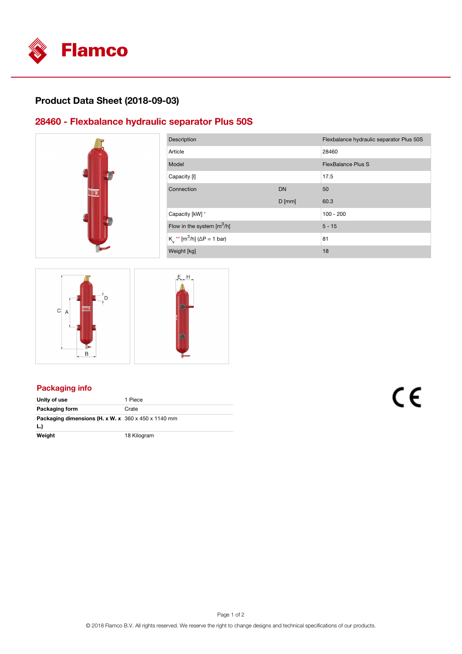

## **Product Data Sheet (2018-09-03)**

### **28460 - Flexbalance hydraulic separator Plus 50S**



| Description                                           |           | Flexbalance hydraulic separator Plus 50S |  |
|-------------------------------------------------------|-----------|------------------------------------------|--|
| Article                                               |           | 28460                                    |  |
| Model                                                 |           | <b>FlexBalance Plus S</b>                |  |
| Capacity [I]                                          |           | 17.5                                     |  |
| Connection                                            | <b>DN</b> | 50                                       |  |
|                                                       | $D$ [mm]  | 60.3                                     |  |
| Capacity [kW] *                                       |           | $100 - 200$                              |  |
| Flow in the system $\left[\text{m}^3/\text{h}\right]$ |           | $5 - 15$                                 |  |
| $K_v^*$ [m <sup>3</sup> /h] ( $\Delta P = 1$ bar)     |           | 81                                       |  |
| Weight [kg]                                           |           | 18                                       |  |



### **Packaging info**

| Unity of use                                                           | 1 Piece     |
|------------------------------------------------------------------------|-------------|
| Packaging form                                                         | Crate       |
| Packaging dimensions (H. x W. x $360 \times 450 \times 1140$ mm<br>L.) |             |
| Weight                                                                 | 18 Kilogram |

# C€